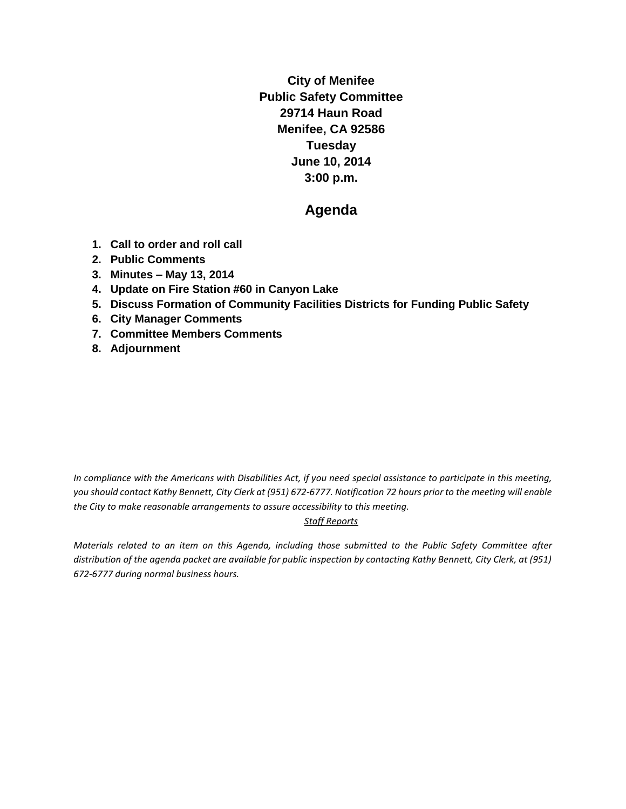**City of Menifee Public Safety Committee 29714 Haun Road Menifee, CA 92586 Tuesday June 10, 2014 3:00 p.m.**

# **Agenda**

- **1. Call to order and roll call**
- **2. Public Comments**
- **3. Minutes – May 13, 2014**
- **4. Update on Fire Station #60 in Canyon Lake**
- **5. Discuss Formation of Community Facilities Districts for Funding Public Safety**
- **6. City Manager Comments**
- **7. Committee Members Comments**
- **8. Adjournment**

*In compliance with the Americans with Disabilities Act, if you need special assistance to participate in this meeting, you should contact Kathy Bennett, City Clerk at (951) 672-6777. Notification 72 hours prior to the meeting will enable the City to make reasonable arrangements to assure accessibility to this meeting.* 

#### *Staff Reports*

*Materials related to an item on this Agenda, including those submitted to the Public Safety Committee after distribution of the agenda packet are available for public inspection by contacting Kathy Bennett, City Clerk, at (951) 672-6777 during normal business hours.*